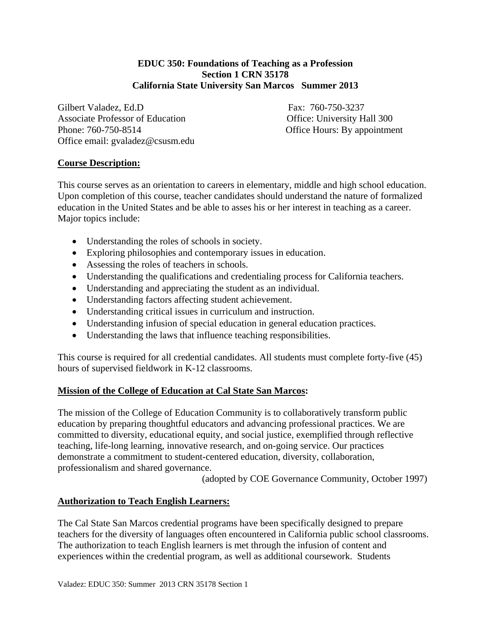### **EDUC 350: Foundations of Teaching as a Profession Section 1 CRN 35178 California State University San Marcos Summer 2013**

Gilbert Valadez, Ed.D Fax: 760-750-3237 Associate Professor of Education **Office:** University Hall 300 Phone: 760-750-8514 Office Hours: By appointment Office email: gvaladez@csusm.edu

# **Course Description:**

This course serves as an orientation to careers in elementary, middle and high school education. Upon completion of this course, teacher candidates should understand the nature of formalized education in the United States and be able to asses his or her interest in teaching as a career. Major topics include:

- Understanding the roles of schools in society.
- Exploring philosophies and contemporary issues in education.
- Assessing the roles of teachers in schools.
- Understanding the qualifications and credentialing process for California teachers.
- Understanding and appreciating the student as an individual.
- Understanding factors affecting student achievement.
- Understanding critical issues in curriculum and instruction.
- Understanding infusion of special education in general education practices.
- Understanding the laws that influence teaching responsibilities.

This course is required for all credential candidates. All students must complete forty-five (45) hours of supervised fieldwork in K-12 classrooms.

## **Mission of the College of Education at Cal State San Marcos:**

The mission of the College of Education Community is to collaboratively transform public education by preparing thoughtful educators and advancing professional practices. We are committed to diversity, educational equity, and social justice, exemplified through reflective teaching, life-long learning, innovative research, and on-going service. Our practices demonstrate a commitment to student-centered education, diversity, collaboration, professionalism and shared governance.

(adopted by COE Governance Community, October 1997)

## **Authorization to Teach English Learners:**

The Cal State San Marcos credential programs have been specifically designed to prepare teachers for the diversity of languages often encountered in California public school classrooms. The authorization to teach English learners is met through the infusion of content and experiences within the credential program, as well as additional coursework. Students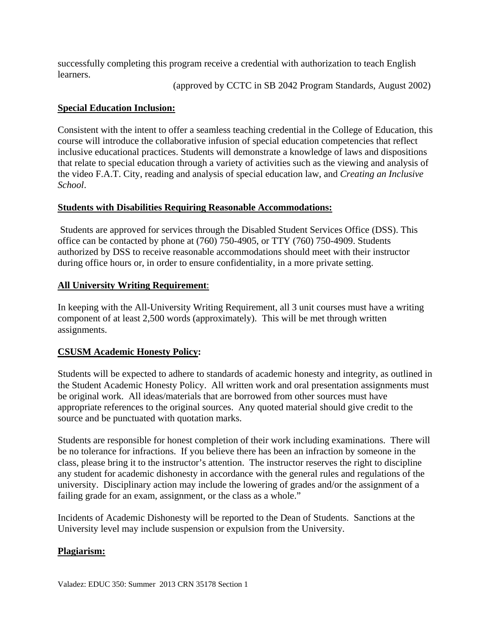successfully completing this program receive a credential with authorization to teach English learners.

(approved by CCTC in SB 2042 Program Standards, August 2002)

## **Special Education Inclusion:**

Consistent with the intent to offer a seamless teaching credential in the College of Education, this course will introduce the collaborative infusion of special education competencies that reflect inclusive educational practices. Students will demonstrate a knowledge of laws and dispositions that relate to special education through a variety of activities such as the viewing and analysis of the video F.A.T. City, reading and analysis of special education law, and *Creating an Inclusive School*.

# **Students with Disabilities Requiring Reasonable Accommodations:**

Students are approved for services through the Disabled Student Services Office (DSS). This office can be contacted by phone at (760) 750-4905, or TTY (760) 750-4909. Students authorized by DSS to receive reasonable accommodations should meet with their instructor during office hours or, in order to ensure confidentiality, in a more private setting.

# **All University Writing Requirement:**

**All University Writing Requirement**: In keeping with the All-University Writing Requirement, all 3 unit courses must have a writing component of at least 2,500 words (approximately). This will be met through written assignments.

# **CSUSM Academic Honesty Policy:**

Students will be expected to adhere to standards of academic honesty and integrity, as outlined in the Student Academic Honesty Policy. All written work and oral presentation assignments must be original work. All ideas/materials that are borrowed from other sources must have appropriate references to the original sources. Any quoted material should give credit to the source and be punctuated with quotation marks.

Students are responsible for honest completion of their work including examinations. There will be no tolerance for infractions. If you believe there has been an infraction by someone in the class, please bring it to the instructor's attention. The instructor reserves the right to discipline any student for academic dishonesty in accordance with the general rules and regulations of the university. Disciplinary action may include the lowering of grades and/or the assignment of a failing grade for an exam, assignment, or the class as a whole."

Incidents of Academic Dishonesty will be reported to the Dean of Students. Sanctions at the University level may include suspension or expulsion from the University.

# **Plagiarism:**

Valadez: EDUC 350: Summer 2013 CRN 35178 Section 1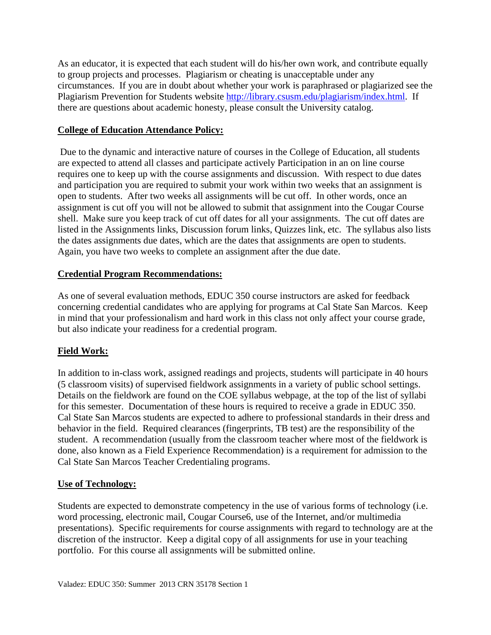As an educator, it is expected that each student will do his/her own work, and contribute equally to group projects and processes. Plagiarism or cheating is unacceptable under any circumstances. If you are in doubt about whether your work is paraphrased or plagiarized see the Plagiarism Prevention for Students website http://library.csusm.edu/plagiarism/index.html. If there are questions about academic honesty, please consult the University catalog.

## **College of Education Attendance Policy:**

 Due to the dynamic and interactive nature of courses in the College of Education, all students are expected to attend all classes and participate actively Participation in an on line course requires one to keep up with the course assignments and discussion. With respect to due dates and participation you are required to submit your work within two weeks that an assignment is open to students. After two weeks all assignments will be cut off. In other words, once an assignment is cut off you will not be allowed to submit that assignment into the Cougar Course shell. Make sure you keep track of cut off dates for all your assignments. The cut off dates are listed in the Assignments links, Discussion forum links, Quizzes link, etc. The syllabus also lists the dates assignments due dates, which are the dates that assignments are open to students. Again, you have two weeks to complete an assignment after the due date.

# **Credential Program Recommendations:**

As one of several evaluation methods, EDUC 350 course instructors are asked for feedback concerning credential candidates who are applying for programs at Cal State San Marcos. Keep in mind that your professionalism and hard work in this class not only affect your course grade, but also indicate your readiness for a credential program.

# **Field Work:**

In addition to in-class work, assigned readings and projects, students will participate in 40 hours (5 classroom visits) of supervised fieldwork assignments in a variety of public school settings. Details on the fieldwork are found on the COE syllabus webpage, at the top of the list of syllabi for this semester. Documentation of these hours is required to receive a grade in EDUC 350. Cal State San Marcos students are expected to adhere to professional standards in their dress and behavior in the field. Required clearances (fingerprints, TB test) are the responsibility of the student. A recommendation (usually from the classroom teacher where most of the fieldwork is done, also known as a Field Experience Recommendation) is a requirement for admission to the Cal State San Marcos Teacher Credentialing programs.

## **Use of Technology:**

Students are expected to demonstrate competency in the use of various forms of technology (i.e. word processing, electronic mail, Cougar Course6, use of the Internet, and/or multimedia presentations). Specific requirements for course assignments with regard to technology are at the discretion of the instructor. Keep a digital copy of all assignments for use in your teaching portfolio. For this course all assignments will be submitted online.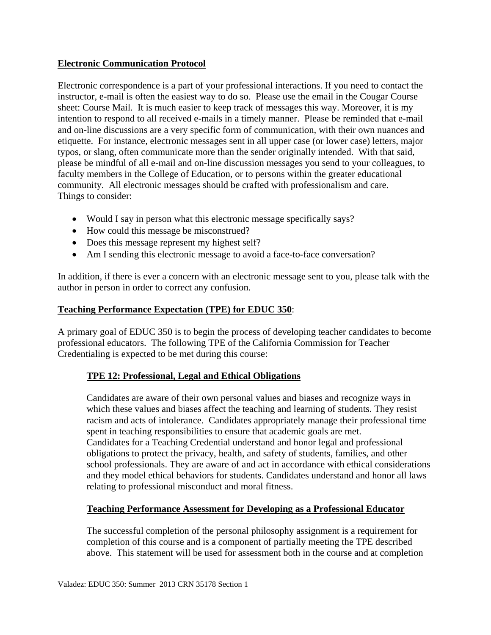## **Electronic Communication Protocol**

Electronic correspondence is a part of your professional interactions. If you need to contact the instructor, e-mail is often the easiest way to do so. Please use the email in the Cougar Course sheet: Course Mail. It is much easier to keep track of messages this way. Moreover, it is my intention to respond to all received e-mails in a timely manner. Please be reminded that e-mail and on-line discussions are a very specific form of communication, with their own nuances and etiquette. For instance, electronic messages sent in all upper case (or lower case) letters, major typos, or slang, often communicate more than the sender originally intended. With that said, please be mindful of all e-mail and on-line discussion messages you send to your colleagues, to faculty members in the College of Education, or to persons within the greater educational community. All electronic messages should be crafted with professionalism and care. Things to consider:

- Would I say in person what this electronic message specifically says?
- How could this message be misconstrued?
- Does this message represent my highest self?
- Am I sending this electronic message to avoid a face-to-face conversation?

In addition, if there is ever a concern with an electronic message sent to you, please talk with the author in person in order to correct any confusion.

### **Teaching Performance Expectation (TPE) for EDUC 350**:

A primary goal of EDUC 350 is to begin the process of developing teacher candidates to become professional educators. The following TPE of the California Commission for Teacher Credentialing is expected to be met during this course:

## **TPE 12: Professional, Legal and Ethical Obligations**

Candidates are aware of their own personal values and biases and recognize ways in which these values and biases affect the teaching and learning of students. They resist racism and acts of intolerance. Candidates appropriately manage their professional time spent in teaching responsibilities to ensure that academic goals are met. Candidates for a Teaching Credential understand and honor legal and professional obligations to protect the privacy, health, and safety of students, families, and other school professionals. They are aware of and act in accordance with ethical considerations and they model ethical behaviors for students. Candidates understand and honor all laws relating to professional misconduct and moral fitness.

### **Teaching Performance Assessment for Developing as a Professional Educator**

The successful completion of the personal philosophy assignment is a requirement for completion of this course and is a component of partially meeting the TPE described above. This statement will be used for assessment both in the course and at completion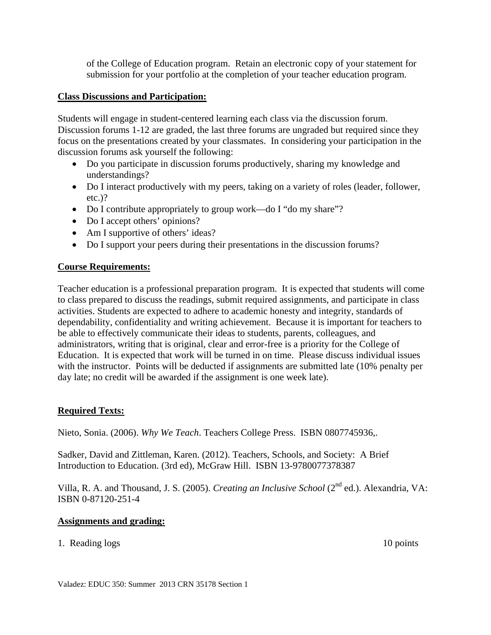of the College of Education program. Retain an electronic copy of your statement for submission for your portfolio at the completion of your teacher education program.

### **Class Discussions and Participation:**

Students will engage in student-centered learning each class via the discussion forum. Discussion forums 1-12 are graded, the last three forums are ungraded but required since they focus on the presentations created by your classmates. In considering your participation in the discussion forums ask yourself the following:

- Do you participate in discussion forums productively, sharing my knowledge and understandings?
- Do I interact productively with my peers, taking on a variety of roles (leader, follower, etc.)?
- Do I contribute appropriately to group work—do I "do my share"?
- Do I accept others' opinions?
- Am I supportive of others' ideas?
- Do I support your peers during their presentations in the discussion forums?

### **Course Requirements:**

Teacher education is a professional preparation program. It is expected that students will come to class prepared to discuss the readings, submit required assignments, and participate in class activities. Students are expected to adhere to academic honesty and integrity, standards of dependability, confidentiality and writing achievement. Because it is important for teachers to be able to effectively communicate their ideas to students, parents, colleagues, and administrators, writing that is original, clear and error-free is a priority for the College of Education. It is expected that work will be turned in on time. Please discuss individual issues with the instructor. Points will be deducted if assignments are submitted late (10% penalty per day late; no credit will be awarded if the assignment is one week late).

## **Required Texts:**

Nieto, Sonia. (2006). *Why We Teach*. Teachers College Press. ISBN 0807745936,.

Sadker, David and Zittleman, Karen. (2012). Teachers, Schools, and Society: A Brief Introduction to Education. (3rd ed), McGraw Hill. ISBN 13-9780077378387

Villa, R. A. and Thousand, J. S. (2005). *Creating an Inclusive School* (2nd ed.). Alexandria, VA: ISBN 0-87120-251-4

### **Assignments and grading:**

1. Reading logs 10 points 10 points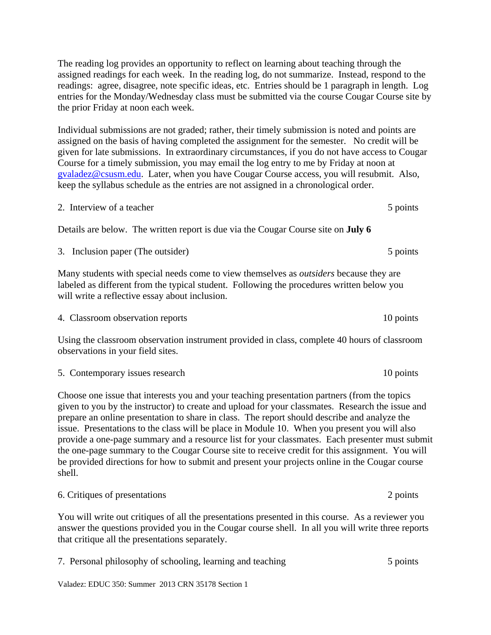The reading log provides an opportunity to reflect on learning about teaching through the assigned readings for each week. In the reading log, do not summarize. Instead, respond to the readings: agree, disagree, note specific ideas, etc. Entries should be 1 paragraph in length. Log entries for the Monday/Wednesday class must be submitted via the course Cougar Course site by the prior Friday at noon each week.

Individual submissions are not graded; rather, their timely submission is noted and points are assigned on the basis of having completed the assignment for the semester. No credit will be given for late submissions. In extraordinary circumstances, if you do not have access to Cougar Course for a timely submission, you may email the log entry to me by Friday at noon at gvaladez@csusm.edu. Later, when you have Cougar Course access, you will resubmit. Also, keep the syllabus schedule as the entries are not assigned in a chronological order.

2. Interview of a teacher 5 points

Details are below. The written report is due via the Cougar Course site on **July 6** 

3. Inclusion paper (The outsider) 5 points

Many students with special needs come to view themselves as *outsiders* because they are labeled as different from the typical student. Following the procedures written below you will write a reflective essay about inclusion.

4. Classroom observation reports 10 points

Using the classroom observation instrument provided in class, complete 40 hours of classroom observations in your field sites.

5. Contemporary issues research 10 points

Choose one issue that interests you and your teaching presentation partners (from the topics given to you by the instructor) to create and upload for your classmates. Research the issue and prepare an online presentation to share in class. The report should describe and analyze the issue. Presentations to the class will be place in Module 10. When you present you will also provide a one-page summary and a resource list for your classmates. Each presenter must submit the one-page summary to the Cougar Course site to receive credit for this assignment. You will be provided directions for how to submit and present your projects online in the Cougar course shell.

| 6. Critiques of presentations | 2 points |
|-------------------------------|----------|
|-------------------------------|----------|

You will write out critiques of all the presentations presented in this course. As a reviewer you answer the questions provided you in the Cougar course shell. In all you will write three reports that critique all the presentations separately.

| 7. Personal philosophy of schooling, learning and teaching | 5 points |
|------------------------------------------------------------|----------|
|                                                            |          |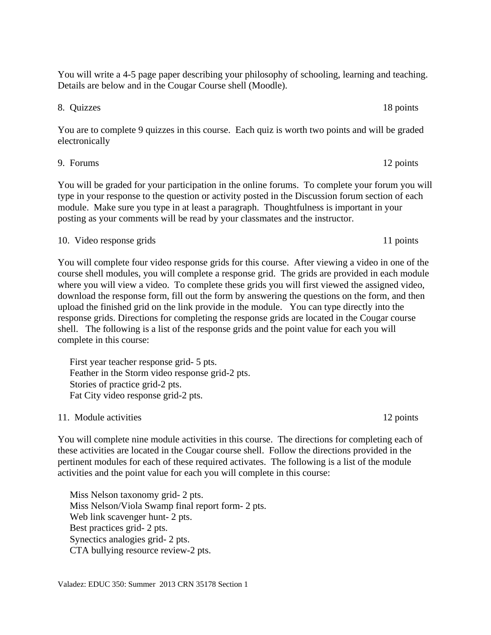You will write a 4-5 page paper describing your philosophy of schooling, learning and teaching. Details are below and in the Cougar Course shell (Moodle).

8. Quizzes 18 points

You are to complete 9 quizzes in this course. Each quiz is worth two points and will be graded electronically

9. Forums 12 points

You will be graded for your participation in the online forums. To complete your forum you will type in your response to the question or activity posted in the Discussion forum section of each module. Make sure you type in at least a paragraph. Thoughtfulness is important in your posting as your comments will be read by your classmates and the instructor.

#### 10. Video response grids 11 points

You will complete four video response grids for this course. After viewing a video in one of the course shell modules, you will complete a response grid. The grids are provided in each module where you will view a video. To complete these grids you will first viewed the assigned video, download the response form, fill out the form by answering the questions on the form, and then upload the finished grid on the link provide in the module. You can type directly into the response grids. Directions for completing the response grids are located in the Cougar course shell. The following is a list of the response grids and the point value for each you will complete in this course:

 First year teacher response grid- 5 pts. Feather in the Storm video response grid-2 pts. Stories of practice grid-2 pts. Fat City video response grid-2 pts.

11. Module activities 12 points

You will complete nine module activities in this course. The directions for completing each of these activities are located in the Cougar course shell. Follow the directions provided in the pertinent modules for each of these required activates. The following is a list of the module activities and the point value for each you will complete in this course:

Miss Nelson taxonomy grid- 2 pts. Miss Nelson/Viola Swamp final report form- 2 pts. Web link scavenger hunt- 2 pts. Best practices grid- 2 pts. Synectics analogies grid- 2 pts. CTA bullying resource review-2 pts.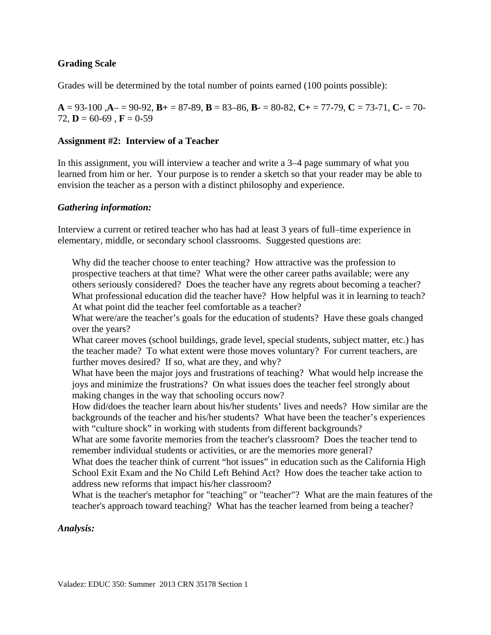### **Grading Scale**

Grades will be determined by the total number of points earned (100 points possible):

 $A = 93-100$ ,  $A = 90-92$ ,  $B = 87-89$ ,  $B = 83-86$ ,  $B = 80-82$ ,  $C = 77-79$ ,  $C = 73-71$ ,  $C = 70-79$ 72, **D** = 60-69, **F** = 0-59

### **Assignment #2: Interview of a Teacher**

In this assignment, you will interview a teacher and write a 3–4 page summary of what you learned from him or her. Your purpose is to render a sketch so that your reader may be able to envision the teacher as a person with a distinct philosophy and experience.

### *Gathering information:*

Interview a current or retired teacher who has had at least 3 years of full–time experience in elementary, middle, or secondary school classrooms. Suggested questions are:

Why did the teacher choose to enter teaching? How attractive was the profession to prospective teachers at that time? What were the other career paths available; were any others seriously considered? Does the teacher have any regrets about becoming a teacher? What professional education did the teacher have? How helpful was it in learning to teach? At what point did the teacher feel comfortable as a teacher?

What were/are the teacher's goals for the education of students? Have these goals changed over the years?

What career moves (school buildings, grade level, special students, subject matter, etc.) has the teacher made? To what extent were those moves voluntary? For current teachers, are further moves desired? If so, what are they, and why?

What have been the major joys and frustrations of teaching? What would help increase the joys and minimize the frustrations? On what issues does the teacher feel strongly about making changes in the way that schooling occurs now?

How did/does the teacher learn about his/her students' lives and needs? How similar are the backgrounds of the teacher and his/her students? What have been the teacher's experiences with "culture shock" in working with students from different backgrounds?

What are some favorite memories from the teacher's classroom? Does the teacher tend to remember individual students or activities, or are the memories more general?

What does the teacher think of current "hot issues" in education such as the California High School Exit Exam and the No Child Left Behind Act? How does the teacher take action to address new reforms that impact his/her classroom?

What is the teacher's metaphor for "teaching" or "teacher"? What are the main features of the teacher's approach toward teaching? What has the teacher learned from being a teacher?

#### *Analysis:*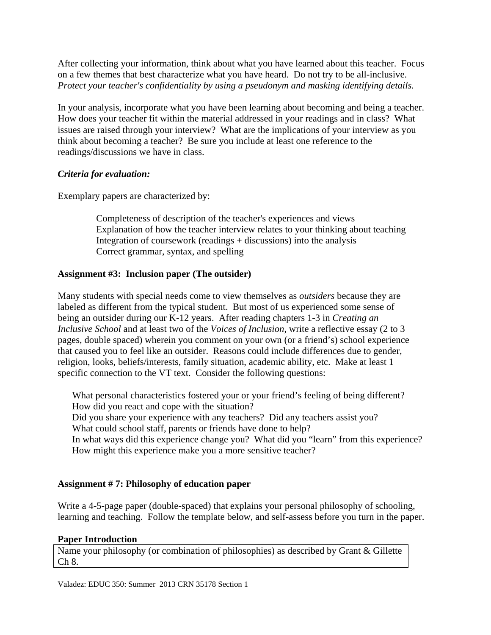After collecting your information, think about what you have learned about this teacher. Focus on a few themes that best characterize what you have heard. Do not try to be all-inclusive. *Protect your teacher's confidentiality by using a pseudonym and masking identifying details.* 

In your analysis, incorporate what you have been learning about becoming and being a teacher. How does your teacher fit within the material addressed in your readings and in class? What issues are raised through your interview? What are the implications of your interview as you think about becoming a teacher? Be sure you include at least one reference to the readings/discussions we have in class.

## *Criteria for evaluation:*

Exemplary papers are characterized by:

Completeness of description of the teacher's experiences and views Explanation of how the teacher interview relates to your thinking about teaching Integration of coursework (readings + discussions) into the analysis Correct grammar, syntax, and spelling

# **Assignment #3: Inclusion paper (The outsider)**

Many students with special needs come to view themselves as *outsiders* because they are labeled as different from the typical student. But most of us experienced some sense of being an outsider during our K-12 years. After reading chapters 1-3 in *Creating an Inclusive School* and at least two of the *Voices of Inclusion*, write a reflective essay (2 to 3 pages, double spaced) wherein you comment on your own (or a friend's) school experience that caused you to feel like an outsider. Reasons could include differences due to gender, religion, looks, beliefs/interests, family situation, academic ability, etc. Make at least 1 specific connection to the VT text. Consider the following questions:

What personal characteristics fostered your or your friend's feeling of being different? How did you react and cope with the situation? Did you share your experience with any teachers? Did any teachers assist you? What could school staff, parents or friends have done to help?

In what ways did this experience change you? What did you "learn" from this experience? How might this experience make you a more sensitive teacher?

## **Assignment # 7: Philosophy of education paper**

Write a 4-5-page paper (double-spaced) that explains your personal philosophy of schooling, learning and teaching. Follow the template below, and self-assess before you turn in the paper.

## **Paper Introduction**

Name your philosophy (or combination of philosophies) as described by Grant & Gillette Ch 8.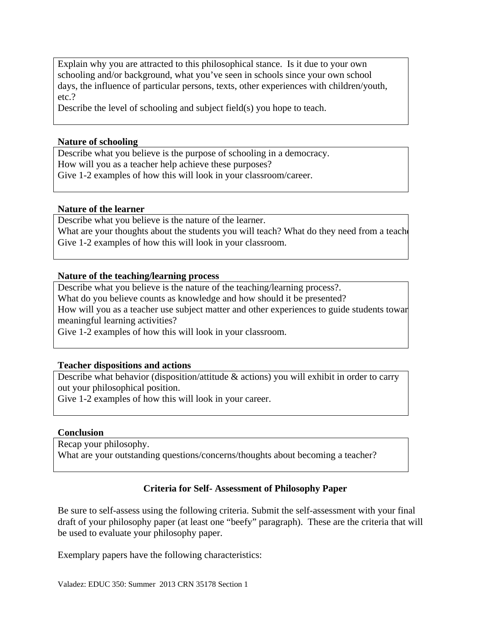Explain why you are attracted to this philosophical stance. Is it due to your own schooling and/or background, what you've seen in schools since your own school days, the influence of particular persons, texts, other experiences with children/youth, etc.?

Describe the level of schooling and subject field(s) you hope to teach.

#### **Nature of schooling**

Describe what you believe is the purpose of schooling in a democracy. How will you as a teacher help achieve these purposes? Give 1-2 examples of how this will look in your classroom/career.

#### **Nature of the learner**

Describe what you believe is the nature of the learner. What are your thoughts about the students you will teach? What do they need from a teach Give 1-2 examples of how this will look in your classroom.

#### **Nature of the teaching/learning process**

Describe what you believe is the nature of the teaching/learning process?.

What do you believe counts as knowledge and how should it be presented?

 meaningful learning activities? How will you as a teacher use subject matter and other experiences to guide students towar

Give 1-2 examples of how this will look in your classroom.

### **Teacher dispositions and actions**

Describe what behavior (disposition/attitude & actions) you will exhibit in order to carry out your philosophical position.

Give 1-2 examples of how this will look in your career.

#### **Conclusion**

Recap your philosophy.

What are your outstanding questions/concerns/thoughts about becoming a teacher?

### **Criteria for Self- Assessment of Philosophy Paper**

Be sure to self-assess using the following criteria. Submit the self-assessment with your final draft of your philosophy paper (at least one "beefy" paragraph). These are the criteria that will be used to evaluate your philosophy paper.

Exemplary papers have the following characteristics: Valadez: EDUC 350: Summer 2013 CRN 35178 Section 1

Valadez: EDUC 350: Summer 2013 CRN 35178 Section 1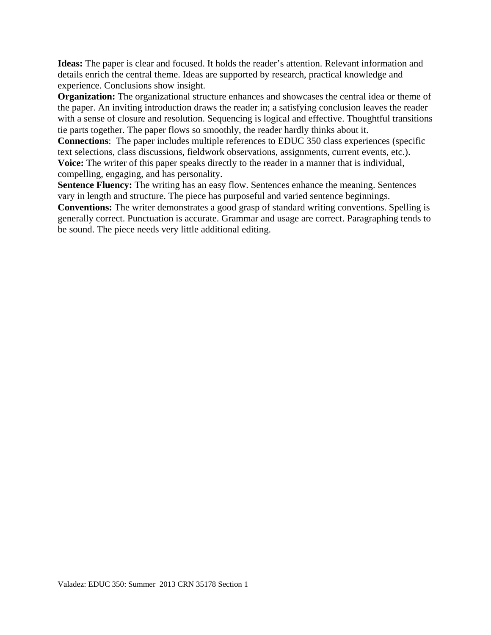**Ideas:** The paper is clear and focused. It holds the reader's attention. Relevant information and details enrich the central theme. Ideas are supported by research, practical knowledge and experience. Conclusions show insight.

**Organization:** The organizational structure enhances and showcases the central idea or theme of the paper. An inviting introduction draws the reader in; a satisfying conclusion leaves the reader with a sense of closure and resolution. Sequencing is logical and effective. Thoughtful transitions tie parts together. The paper flows so smoothly, the reader hardly thinks about it.

**Connections**: The paper includes multiple references to EDUC 350 class experiences (specific text selections, class discussions, fieldwork observations, assignments, current events, etc.). **Voice:** The writer of this paper speaks directly to the reader in a manner that is individual, compelling, engaging, and has personality.

**Sentence Fluency:** The writing has an easy flow. Sentences enhance the meaning. Sentences vary in length and structure. The piece has purposeful and varied sentence beginnings.

**Conventions:** The writer demonstrates a good grasp of standard writing conventions. Spelling is generally correct. Punctuation is accurate. Grammar and usage are correct. Paragraphing tends to be sound. The piece needs very little additional editing.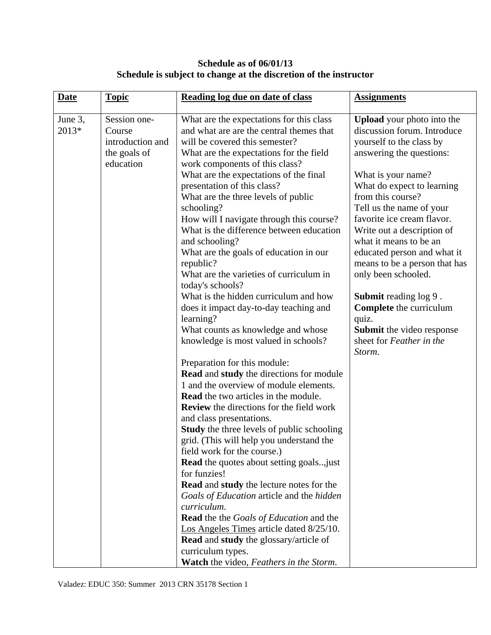# **Schedule as of 06/01/13 Schedule is subject to change at the discretion of the instructor**

| <b>Date</b> | <b>Topic</b>     | Reading log due on date of class                            | <b>Assignments</b>                                           |
|-------------|------------------|-------------------------------------------------------------|--------------------------------------------------------------|
| June 3,     | Session one-     | What are the expectations for this class                    | Upload your photo into the                                   |
| 2013*       | Course           | and what are are the central themes that                    | discussion forum. Introduce                                  |
|             | introduction and | will be covered this semester?                              | yourself to the class by                                     |
|             | the goals of     | What are the expectations for the field                     | answering the questions:                                     |
|             | education        | work components of this class?                              |                                                              |
|             |                  | What are the expectations of the final                      | What is your name?                                           |
|             |                  | presentation of this class?                                 | What do expect to learning                                   |
|             |                  | What are the three levels of public                         | from this course?                                            |
|             |                  | schooling?                                                  | Tell us the name of your                                     |
|             |                  | How will I navigate through this course?                    | favorite ice cream flavor.                                   |
|             |                  | What is the difference between education                    | Write out a description of                                   |
|             |                  | and schooling?                                              | what it means to be an                                       |
|             |                  | What are the goals of education in our<br>republic?         | educated person and what it<br>means to be a person that has |
|             |                  | What are the varieties of curriculum in<br>today's schools? | only been schooled.                                          |
|             |                  | What is the hidden curriculum and how                       | <b>Submit reading log 9.</b>                                 |
|             |                  | does it impact day-to-day teaching and                      | <b>Complete</b> the curriculum                               |
|             |                  | learning?                                                   | quiz.                                                        |
|             |                  | What counts as knowledge and whose                          | <b>Submit</b> the video response                             |
|             |                  | knowledge is most valued in schools?                        | sheet for Feather in the                                     |
|             |                  |                                                             | Storm.                                                       |
|             |                  | Preparation for this module:                                |                                                              |
|             |                  | <b>Read and study the directions for module</b>             |                                                              |
|             |                  | 1 and the overview of module elements.                      |                                                              |
|             |                  | <b>Read</b> the two articles in the module.                 |                                                              |
|             |                  | <b>Review</b> the directions for the field work             |                                                              |
|             |                  | and class presentations.                                    |                                                              |
|             |                  | <b>Study</b> the three levels of public schooling           |                                                              |
|             |                  | grid. (This will help you understand the                    |                                                              |
|             |                  | field work for the course.)                                 |                                                              |
|             |                  | <b>Read</b> the quotes about setting goals just             |                                                              |
|             |                  | for funzies!                                                |                                                              |
|             |                  | <b>Read and study the lecture notes for the</b>             |                                                              |
|             |                  | Goals of Education article and the hidden                   |                                                              |
|             |                  | curriculum.                                                 |                                                              |
|             |                  | <b>Read</b> the the Goals of Education and the              |                                                              |
|             |                  | Los Angeles Times article dated 8/25/10.                    |                                                              |
|             |                  | <b>Read and study the glossary/article of</b>               |                                                              |
|             |                  | curriculum types.                                           |                                                              |
|             |                  | Watch the video, Feathers in the Storm.                     |                                                              |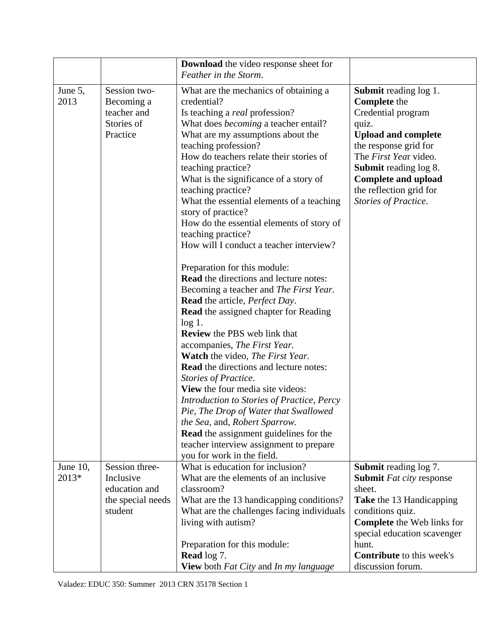|                      |                                                                              | <b>Download</b> the video response sheet for<br>Feather in the Storm.                                                                                                                                                                                                                                                                                                                                                                                                                                                                                                                                                                                                                                                                                                                                                                                                                                                                                                                                                                                                                                                                                                                                                                                                |                                                                                                                                                                                                                                                                                     |
|----------------------|------------------------------------------------------------------------------|----------------------------------------------------------------------------------------------------------------------------------------------------------------------------------------------------------------------------------------------------------------------------------------------------------------------------------------------------------------------------------------------------------------------------------------------------------------------------------------------------------------------------------------------------------------------------------------------------------------------------------------------------------------------------------------------------------------------------------------------------------------------------------------------------------------------------------------------------------------------------------------------------------------------------------------------------------------------------------------------------------------------------------------------------------------------------------------------------------------------------------------------------------------------------------------------------------------------------------------------------------------------|-------------------------------------------------------------------------------------------------------------------------------------------------------------------------------------------------------------------------------------------------------------------------------------|
| June 5,<br>2013      | Session two-<br>Becoming a<br>teacher and<br>Stories of<br>Practice          | What are the mechanics of obtaining a<br>credential?<br>Is teaching a <i>real</i> profession?<br>What does <i>becoming</i> a teacher entail?<br>What are my assumptions about the<br>teaching profession?<br>How do teachers relate their stories of<br>teaching practice?<br>What is the significance of a story of<br>teaching practice?<br>What the essential elements of a teaching<br>story of practice?<br>How do the essential elements of story of<br>teaching practice?<br>How will I conduct a teacher interview?<br>Preparation for this module:<br><b>Read</b> the directions and lecture notes:<br>Becoming a teacher and The First Year.<br><b>Read</b> the article, <i>Perfect Day</i> .<br><b>Read</b> the assigned chapter for Reading<br>$log 1$ .<br><b>Review</b> the PBS web link that<br>accompanies, The First Year.<br><b>Watch</b> the video, <i>The First Year</i> .<br><b>Read</b> the directions and lecture notes:<br>Stories of Practice.<br><b>View</b> the four media site videos:<br>Introduction to Stories of Practice, Percy<br>Pie, The Drop of Water that Swallowed<br>the Sea, and, Robert Sparrow.<br><b>Read</b> the assignment guidelines for the<br>teacher interview assignment to prepare<br>you for work in the field. | <b>Submit</b> reading log 1.<br><b>Complete</b> the<br>Credential program<br>quiz.<br><b>Upload and complete</b><br>the response grid for<br>The First Year video.<br><b>Submit</b> reading log 8.<br><b>Complete and upload</b><br>the reflection grid for<br>Stories of Practice. |
| June $10$ ,<br>2013* | Session three-<br>Inclusive<br>education and<br>the special needs<br>student | What is education for inclusion?<br>What are the elements of an inclusive<br>classroom?<br>What are the 13 handicapping conditions?<br>What are the challenges facing individuals<br>living with autism?<br>Preparation for this module:<br><b>Read</b> log 7.<br><b>View</b> both Fat City and In my language                                                                                                                                                                                                                                                                                                                                                                                                                                                                                                                                                                                                                                                                                                                                                                                                                                                                                                                                                       | <b>Submit</b> reading log 7.<br><b>Submit</b> <i>Fat city</i> response<br>sheet.<br>Take the 13 Handicapping<br>conditions quiz.<br><b>Complete</b> the Web links for<br>special education scavenger<br>hunt.<br><b>Contribute</b> to this week's<br>discussion forum.              |

Valadez: EDUC 350: Summer 2013 CRN 35178 Section 1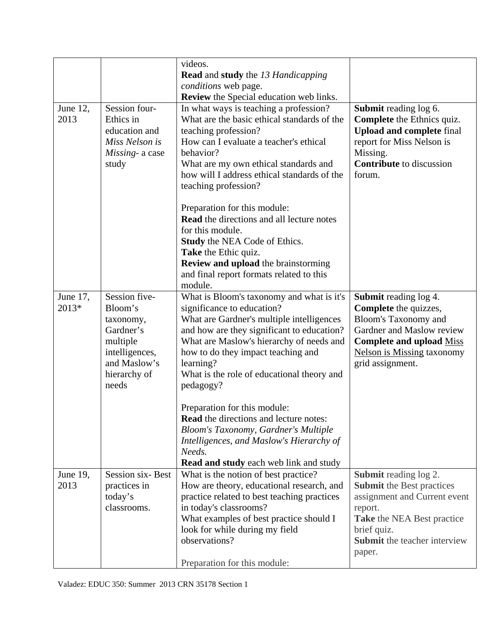|                   |                                                                                                                           | videos.<br><b>Read</b> and <b>study</b> the 13 Handicapping<br>conditions web page.                                                                                                                                                                                                                                                                                                                                                                                                                                                                          |                                                                                                                                                                                                                  |
|-------------------|---------------------------------------------------------------------------------------------------------------------------|--------------------------------------------------------------------------------------------------------------------------------------------------------------------------------------------------------------------------------------------------------------------------------------------------------------------------------------------------------------------------------------------------------------------------------------------------------------------------------------------------------------------------------------------------------------|------------------------------------------------------------------------------------------------------------------------------------------------------------------------------------------------------------------|
|                   |                                                                                                                           | <b>Review</b> the Special education web links.                                                                                                                                                                                                                                                                                                                                                                                                                                                                                                               |                                                                                                                                                                                                                  |
| June 12,<br>2013  | Session four-<br>Ethics in<br>education and<br>Miss Nelson is<br>Missing- a case<br>study                                 | In what ways is teaching a profession?<br>What are the basic ethical standards of the<br>teaching profession?<br>How can I evaluate a teacher's ethical<br>behavior?<br>What are my own ethical standards and<br>how will I address ethical standards of the<br>teaching profession?                                                                                                                                                                                                                                                                         | Submit reading log 6.<br><b>Complete</b> the Ethnics quiz.<br><b>Upload and complete final</b><br>report for Miss Nelson is<br>Missing.<br><b>Contribute</b> to discussion<br>forum.                             |
|                   |                                                                                                                           | Preparation for this module:<br><b>Read</b> the directions and all lecture notes<br>for this module.<br>Study the NEA Code of Ethics.<br>Take the Ethic quiz.<br>Review and upload the brainstorming<br>and final report formats related to this<br>module.                                                                                                                                                                                                                                                                                                  |                                                                                                                                                                                                                  |
| June 17,<br>2013* | Session five-<br>Bloom's<br>taxonomy,<br>Gardner's<br>multiple<br>intelligences,<br>and Maslow's<br>hierarchy of<br>needs | What is Bloom's taxonomy and what is it's<br>significance to education?<br>What are Gardner's multiple intelligences<br>and how are they significant to education?<br>What are Maslow's hierarchy of needs and<br>how to do they impact teaching and<br>learning?<br>What is the role of educational theory and<br>pedagogy?<br>Preparation for this module:<br><b>Read</b> the directions and lecture notes:<br>Bloom's Taxonomy, Gardner's Multiple<br>Intelligences, and Maslow's Hierarchy of<br>Needs.<br><b>Read and study</b> each web link and study | <b>Submit reading log 4.</b><br>Complete the quizzes,<br><b>Bloom's Taxonomy and</b><br>Gardner and Maslow review<br><b>Complete and upload Miss</b><br><b>Nelson is Missing taxonomy</b><br>grid assignment.    |
| June 19,<br>2013  | <b>Session six-Best</b><br>practices in<br>today's<br>classrooms.                                                         | What is the notion of best practice?<br>How are theory, educational research, and<br>practice related to best teaching practices<br>in today's classrooms?<br>What examples of best practice should I<br>look for while during my field<br>observations?<br>Preparation for this module:                                                                                                                                                                                                                                                                     | <b>Submit reading log 2.</b><br><b>Submit the Best practices</b><br>assignment and Current event<br>report.<br><b>Take the NEA Best practice</b><br>brief quiz.<br><b>Submit</b> the teacher interview<br>paper. |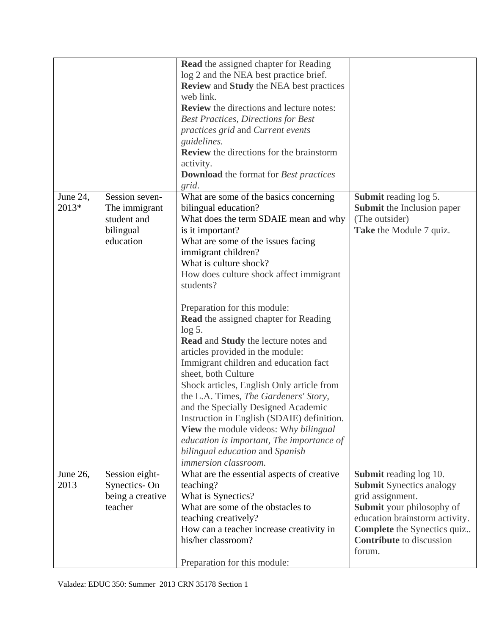|                   |                                                                          | <b>Read</b> the assigned chapter for Reading<br>log 2 and the NEA best practice brief.<br><b>Review and Study the NEA best practices</b><br>web link.<br><b>Review</b> the directions and lecture notes:<br><b>Best Practices, Directions for Best</b><br>practices grid and Current events<br>guidelines.<br><b>Review</b> the directions for the brainstorm<br>activity.<br><b>Download</b> the format for Best practices<br>grid.                                                                                                                                                                                                                                                                                                                                                                                                                          |                                                                                                                                                                                                                                 |
|-------------------|--------------------------------------------------------------------------|---------------------------------------------------------------------------------------------------------------------------------------------------------------------------------------------------------------------------------------------------------------------------------------------------------------------------------------------------------------------------------------------------------------------------------------------------------------------------------------------------------------------------------------------------------------------------------------------------------------------------------------------------------------------------------------------------------------------------------------------------------------------------------------------------------------------------------------------------------------|---------------------------------------------------------------------------------------------------------------------------------------------------------------------------------------------------------------------------------|
| June 24,<br>2013* | Session seven-<br>The immigrant<br>student and<br>bilingual<br>education | What are some of the basics concerning<br>bilingual education?<br>What does the term SDAIE mean and why<br>is it important?<br>What are some of the issues facing<br>immigrant children?<br>What is culture shock?<br>How does culture shock affect immigrant<br>students?<br>Preparation for this module:<br><b>Read</b> the assigned chapter for Reading<br>$log 5$ .<br><b>Read and Study the lecture notes and</b><br>articles provided in the module:<br>Immigrant children and education fact<br>sheet, both Culture<br>Shock articles, English Only article from<br>the L.A. Times, The Gardeners' Story,<br>and the Specially Designed Academic<br>Instruction in English (SDAIE) definition.<br><b>View</b> the module videos: Why bilingual<br>education is important, The importance of<br>bilingual education and Spanish<br>immersion classroom. | <b>Submit</b> reading log 5.<br>Submit the Inclusion paper<br>(The outsider)<br><b>Take</b> the Module 7 quiz.                                                                                                                  |
| June 26,<br>2013  | Session eight-<br>Synectics-On<br>being a creative<br>teacher            | What are the essential aspects of creative<br>teaching?<br>What is Synectics?<br>What are some of the obstacles to<br>teaching creatively?<br>How can a teacher increase creativity in<br>his/her classroom?<br>Preparation for this module:                                                                                                                                                                                                                                                                                                                                                                                                                                                                                                                                                                                                                  | Submit reading log 10.<br><b>Submit Synectics analogy</b><br>grid assignment.<br>Submit your philosophy of<br>education brainstorm activity.<br><b>Complete</b> the Synectics quiz<br><b>Contribute</b> to discussion<br>forum. |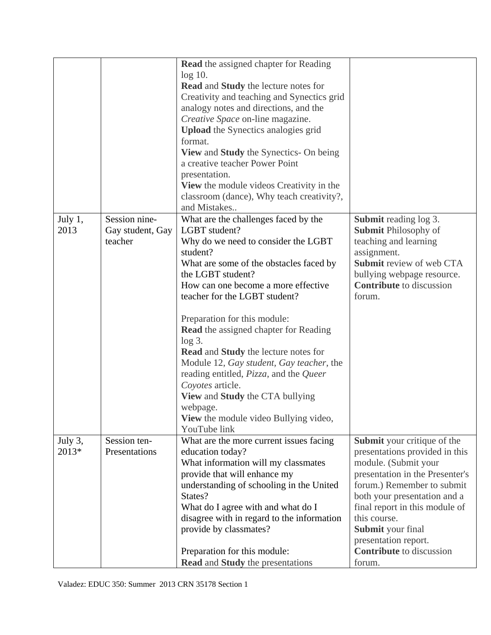|                  |                                              | <b>Read</b> the assigned chapter for Reading<br>$log 10$ .<br><b>Read and Study the lecture notes for</b><br>Creativity and teaching and Synectics grid<br>analogy notes and directions, and the<br>Creative Space on-line magazine.<br><b>Upload</b> the Synectics analogies grid<br>format.<br>View and Study the Synectics- On being<br>a creative teacher Power Point                                                                                                                                                                                                                               |                                                                                                                                                                                                                                                                                                                                    |
|------------------|----------------------------------------------|---------------------------------------------------------------------------------------------------------------------------------------------------------------------------------------------------------------------------------------------------------------------------------------------------------------------------------------------------------------------------------------------------------------------------------------------------------------------------------------------------------------------------------------------------------------------------------------------------------|------------------------------------------------------------------------------------------------------------------------------------------------------------------------------------------------------------------------------------------------------------------------------------------------------------------------------------|
|                  |                                              | presentation.<br><b>View</b> the module videos Creativity in the<br>classroom (dance), Why teach creativity?,<br>and Mistakes                                                                                                                                                                                                                                                                                                                                                                                                                                                                           |                                                                                                                                                                                                                                                                                                                                    |
| July 1,<br>2013  | Session nine-<br>Gay student, Gay<br>teacher | What are the challenges faced by the<br>LGBT student?<br>Why do we need to consider the LGBT<br>student?<br>What are some of the obstacles faced by<br>the LGBT student?<br>How can one become a more effective<br>teacher for the LGBT student?<br>Preparation for this module:<br>Read the assigned chapter for Reading<br>$log 3$ .<br><b>Read and Study the lecture notes for</b><br>Module 12, Gay student, Gay teacher, the<br>reading entitled, Pizza, and the Queer<br>Coyotes article.<br>View and Study the CTA bullying<br>webpage.<br>View the module video Bullying video,<br>YouTube link | Submit reading log 3.<br><b>Submit Philosophy of</b><br>teaching and learning<br>assignment.<br>Submit review of web CTA<br>bullying webpage resource.<br><b>Contribute</b> to discussion<br>forum.                                                                                                                                |
| July 3,<br>2013* | Session ten-<br>Presentations                | What are the more current issues facing<br>education today?<br>What information will my classmates<br>provide that will enhance my<br>understanding of schooling in the United<br>States?<br>What do I agree with and what do I<br>disagree with in regard to the information<br>provide by classmates?<br>Preparation for this module:<br><b>Read and Study the presentations</b>                                                                                                                                                                                                                      | Submit your critique of the<br>presentations provided in this<br>module. (Submit your<br>presentation in the Presenter's<br>forum.) Remember to submit<br>both your presentation and a<br>final report in this module of<br>this course.<br>Submit your final<br>presentation report.<br><b>Contribute</b> to discussion<br>forum. |